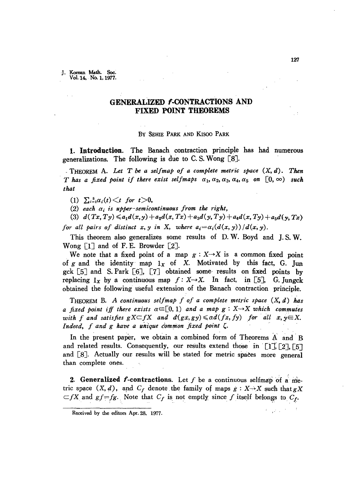J. Korean Math. Soc. Vol. 14. No. 1. 1977.

## GENERALIZED *f*-CONTRACTIONS AND FIXED POINT THEOREMS

## By SEHIE PARK AND KlSOO PARK

1. Introduction. The Banach contraction principle has had numerous generalizations. The following is due to C. S. Wong  $[8]$ .

\_T,HEOREM A. *Let T be a selfm(),p of a complete metric space* (X, *d). Then T* has a fixed point if there exist selfmaps  $\alpha_1, \alpha_2, \alpha_3, \alpha_4, \alpha_5$  on  $[0, \infty)$  such *that*

 $(1)$   $\sum_{i=1}^{5} \alpha_i(t) \leq t$  *for*  $t > 0$ ,

 $(2)$  *each*  $\alpha_i$  *is upper-semicontinuous from the right,* 

(3)  $d(Tx, Ty) \leq a_1 d(x,y) + a_2 d(x,Tx) + a_3 d(y,Ty) + a_4 d(x,Ty) + a_5 d(y,Tx)$ *for* all pairs of distinct  $x, y$  in X, where  $a_i = \alpha_i (d(x, y)) / d(x, y)$ .

This theorem also generalizes some results of D. W. Boyd and *l.* S. W. Wong [lJ and of F. E. Browder [2].

We note that a fixed point of a map  $g: X \rightarrow X$  is a common fixed point of g and the identity map  $1_x$  of X. Motivated by this fact, G. Jun gck [5J and S. Park [6J, [7J obtained some· results on fixed points by replacing  $1_x$  by a continuous map  $f: X \rightarrow X$ . In fact, in [5], G. Jungck obtained the following useful extension of the Banach contraction principle.

THEOREM B. A *continuous selfmap f of a complete metric space (X,d) has a fixed point iff there exists*  $\alpha \in [0,1)$  *and a map*  $g: X \rightarrow X$  *which commutes with f* and satisfies  $gX \subseteq fX$  and  $d(gx, gy) \leq d(fx, fy)$  *for all*  $x, y \in X$ *. Indeed,*  $f$  *and*  $g$  *have a unique common fixed point*  $\zeta$ .

In the present paper, we obtain a combined form of Theorems A and B and related results. Consequently, our results extend those in [1], [2], [5] and  $[8]$ . Actually our results will be stated for metric spaces more general than complete ones.

2. Generalized  $f$ -contractions. Let  $f$  be a continuous selfmap of a metric space  $(X, d)$ , and  $C_f$  denote the family of maps  $g: X \rightarrow X$  such that  $gX$  $\subset fX$  and  $gf=fg$ . Note that  $C_f$  is not emptly since *f* itself belongs to  $C_f$ .

Received by the editors Apr. 28, 1977.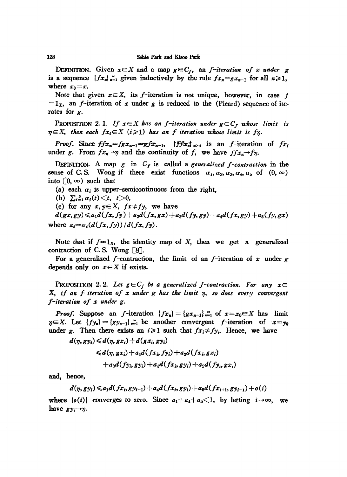DEFINITION. Given  $x \in X$  and a map  $g \in C_f$ , an *f-iteration* of *x* under *g* is a sequence  ${f.x_n}_{n=1}^{\infty}$  given inductively by the rule  ${f.x_n}=gx_{n-1}$  for all  $n\geqslant 1$ , where  $x_0 = x$ .

Note that given  $x \in X$ , its f-iteration is not unique, however, in case f  $= 1<sub>x</sub>$ , an f-iteration of x under g is reduced to the (Picard) sequence of iterates for *g.*

PROPOSITION 2.1. If  $x \in X$  has an *f*-iteration under  $g \in C_f$  whose limit is  $\eta \in X$ , then each  $fx_i \in X$   $(i \geq 1)$  has an *f*-iteration whose limit is  $f\eta$ .

*Proof.* Since  $ffx_n = fgx_{n-1} - gfx_{n-1}$ ,  $\{ffx_n\}_{n>1}$  is an f-iteration of  $fx_i$ under *g*. From  $fx_n \rightarrow \gamma$  and the continuity of *f*, we have  $ffx_n \rightarrow \gamma \gamma$ .

DEFINITION. A map *g* in *Cf.is* called a *generalized f-contraction* in the sense of C. S. Wong if there exist functions  $\alpha_1, \alpha_2, \alpha_3, \alpha_4, \alpha_5$  of  $(0, \infty)$ into  $\lceil 0, \infty \rceil$  such that

(a) each  $\alpha_i$  is upper-semicontinuous from the right,

(b)  $\sum_{i=1}^{5} \alpha_i(t) \leq t, t>0,$ 

(c) for any  $x, y \in X$ ,  $fx \neq fy$ , we have

 $d(gx,gy) \leq a_1d(fx,fy) + a_2d(fx,gx) + a_3d(fy,gy) + a_4d(fx,gy) + a_5(fy,gx)$ where  $a_i = \alpha_i(d(fx, fy))/d(fx, fy)$ .

Note that if  $f=1_x$ , the identity map of X, then we get a generalized contraction of C. S. Wong  $\lceil 8 \rceil$ .

For a generalized  $f$ -contraction, the limit of an  $f$ -iteration of  $x$  under  $g$ depends only on  $x \in X$  if exists.

PROPOSITION 2.2. Let  $g \in C_f$  be a generalized f-contraction. For any  $x \in$ X, *if an f-iteration of <sup>x</sup> under <sup>g</sup> has tke limit r;, so does every convergent f-iteration of x under g.*

*Proof.* Suppose an f-iteration  ${fx_n} = {gx_{n-1}}_{n=1}^{\infty}$  of  $x=x_0 \in X$  has limit  $\eta \in X$ . Let  $\{f\}_{n=1}^{\infty}$  =  $\{gy_{n-1}\}_{n=1}^{\infty}$  be another convergent f-iteration of  $x=y_0$ under *g*. Then there exists an  $i \ge 1$  such that  $fx_i \neq fy_i$ . Hence, we have

$$
d(\eta, gy_i) \leq d(\eta, gx_i) + d(gx_i, gy_i)
$$
  

$$
\leq d(\eta, gx_i) + a_1 d(fx_i, fy_i) + a_2 d(fx_i, gx_i)
$$
  

$$
+ a_3 d(fy_i, gy_i) + a_4 d(fx_i, gy_i) + a_5 d(fy_i, gx_i)
$$

and, hence,

$$
d(\eta, gy_i) \leq a_1 d(fx_i, gy_{i-1}) + a_4 d(fx_i, gy_i) + a_5 d(fx_{i+1}, gy_{i-1}) + o(i)
$$

where  $\{o(i)\}$  converges to zero. Since  $a_1 + a_4 + a_5 \leq 1$ , by letting  $i \rightarrow \infty$ , we have  $gy_i \rightarrow \eta$ .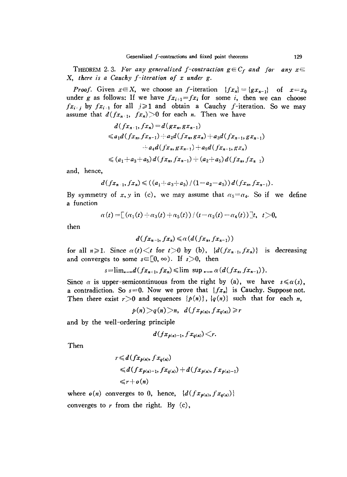THEOREM 2.3. For any generalized f-contraction  $g \in C_f$  and for any  $x \in$ X, *there* is *a Cauchy j-iteration of x under g.*

*Proof.* Given  $x \in X$ , we choose an f-iteration  $\{fx_n\} = \{gx_{n-1}\}$  of  $x = x_0$ under *g* as follows: If we have  $fx_{i+1} = fx_i$  for some *i*, then we can choose  $fx_{i,j}$  by  $fx_{i-1}$  for all  $j \geq 1$  and obtain a Cauchy f-iteration. So we may assume that  $d(f_{x_n+1}, f_{x_n})>0$  for each *n*. Then we have

$$
d(fx_{n+1},fx_n) = d(gx_n,gx_{n-1})
$$
  
\n
$$
\leq a_1d(fx_n,fx_{n-1}) + a_2d(fx_n,gx_n) + a_3d(fx_{n-1},gx_{n-1})
$$
  
\n
$$
+ a_4d(fx_n,gx_{n-1}) + a_5d(fx_{n-1},gx_n)
$$
  
\n
$$
\leq (a_1+a_3+a_5)d(fx_n,fx_{n-1}) + (a_2+a_5)d(fx_n,fx_{n-1})
$$

and, hence,

$$
d(fx_{n-1},fx_n)\leqslant ((a_1+a_3+a_5)/(1-a_2-a_5))d(fx_n,fx_{n-1}).
$$

By symmetry of x, y in (c), we may assume that  $\alpha_5 = \alpha_4$ . So if we define a function

$$
\alpha(t) = [(\alpha_1(t) + \alpha_3(t) + \alpha_5(t)) / (t - \alpha_2(t) - \alpha_4(t))]t, \ \ t>0,
$$

then

$$
d(fx_{n-1},fx_n)\leqslant\alpha\left(d(fx_n,fx_{n-1})\right)
$$

for all  $n \ge 1$ . Since  $\alpha(t) \le t$  for  $t > 0$  by (b),  $\{d(fx_{n-1}, fx_n)\}\$  is decreasing and converges to some  $s \in [0, \infty)$ . If  $s > 0$ , then

$$
s=\lim_{n\to\infty}d(fx_{n+1},fx_n)\leq \limsup_{n\to\infty}\alpha(d(fx_n,fx_{n-1})).
$$

Since  $\alpha$  is upper-semicontinuous from the right by (a), we have  $s \leq \alpha(s)$ , a contradiction. So  $s=0$ . Now we prove that  $\{fx_n\}$  is Cauchy. Suppose not. Then there exist  $r>0$  and sequences  $\{p(n)\}, \{q(n)\}\$  such that for each *n*,

 $p(n) > q(n) > n$ ,  $d(fx_{p(n)}, fx_{q(n)}) \geq r$ 

and by the well-ordering principle

$$
d(fx_{p(n)-1},fx_{q(n)})
$$

Then

$$
r \leq d(fx_{p(n)}, fx_{q(n)})
$$
  
\n
$$
\leq d(fx_{p(n)-1}, fx_{q(n)}) + d(fx_{p(n)}, fx_{p(n)-1})
$$
  
\n
$$
\leq r + o(n)
$$

where  $o(n)$  converges to 0, hence,  $\{d(fx_{p(n)},fx_{q(n)})\}$ converges to  $r$  from the right. By  $(c)$ ,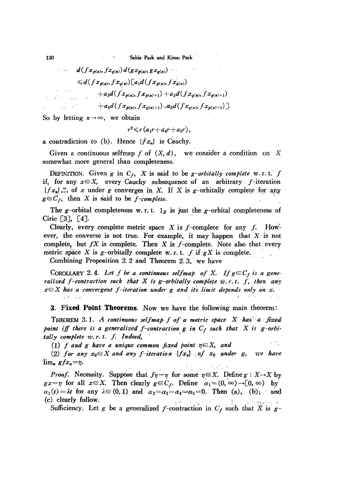130 . Sehie Park and Kisoo Park

$$
d(f x_{p(n)}, f x_{q(n)}) d(g x_{p(n)}, g x_{q(n)})
$$
  
\n
$$
\leq d(f x_{p(n)}, f x_{q(n)}) [a_1 d(f x_{p(n)}, f x_{q(n)})
$$
  
\n
$$
+ a_2 d(f x_{p(n)}, f x_{p(n)+1}) + a_3 d(f x_{q(n)}, f x_{q(n)+1})
$$
  
\n
$$
+ a_4 d(f x_{p(n)}, f x_{q(n)+1}) + a_5 d(f x_{q(n)}, f x_{p(n)+1})].
$$

So by letting  $n \rightarrow \infty$ , we obtain

 $r^2 \leq r(a_1r+a_4r+a_5r),$ 

a contradiction to (b). Hence  $\{fx_n\}$  is Cauchy.

Given a continuous selfmap f of  $(X, d)$ , we consider a condition on X somewhat more general than completeness.

DEFINITION. Given *g* in  $C_f$ , *X* is said to be *g-orbitally complete* w.r.t. *f* if, for any  $x \in X$ , every Cauchy subsequence of an arbitrary f-iteration  $\{f x_n\}_{n=1}^{\infty}$  of x under g converges in X. If X is g-orbitally complete for any  $g \in C_f$ , then X is said to be *f*-complete.

The g-orbital completeness w. r. t.  $1_x$  is just the g-orbital completeness of Ciric [3], [4].

Clearly, every complete metric space  $X$  is  $f$ -complete for any  $f$ . However, the converse is not true. For example, it may happen that  $X$  is not complete, but  $fX$  is complete. Then  $X$  is  $f$ -complete. Note also that, every metric space X is g-orbitally complete w. r. t. f if  $gX$  is complete.

Combining Proposition  $2.2$  and Theorem  $2.3$ , we have

COROLLARY 2.4. Let f be a continuous selfmap of X. If  $g \in C_f$  is a gene*ralized* f-contraction such that X is g-orbitally complete  $w.r.t.$  f, then any  $x \in X$  has a convergent *f*-iteration under g and its limit depends only on *x*.

**3. Fixed Point Theorems.** Now we have the following main theorem:

THEOREM 3.1. A continuous selfmap f of a metric space X has a fixed *point iff* there is a generalized f-contraction  $g$  *in*  $C_f$  such that  $X$  is  $g$ -orbi-**THEOREM 3.1.** A continuous selfmap f of a m<br>point iff there is a generalized f-contraction g in<br>tally complete w.r.t. f. Indeed,<br>(1) f and g have a unique common fixed point **ed Point Theorems.** Now we have the follo:<br>EM 3.1. A continuous selfmap f of a metric st<br>there is a generalized f-contraction g in  $C_f$  su<br>blete w.r.t. f. Indeed,<br>and g have a unique common fixed point  $\eta \in X$ ,<br>any  $x_0 \$ 

 $\sim 10$ (1) *f* and *g* have a unique common fixed point  $\eta \in X$ , and

*(2) for any*  $x_0 \in X$  *and any f-iteration*  $\{fx_n\}$  *of*  $x_0$  *ander g, we have*  $\lim_{n} gfx_{n} = \eta.$ ..

*Proof.* Necessity. Suppose that  $f_7 = \eta$  for some  $\eta \in X$ . Define  $g: X \rightarrow X$  by  $gx = \eta$  for all  $x \in X$ . Then clearly  $g \in C_f$ . Define  $\alpha_1 = (0, \infty) \to [0, \infty)$  by  $\alpha_1(t) = \lambda t$  for any  $\lambda \in (0, 1)$  and  $\alpha_2 = \alpha_3 = \alpha_4 = \alpha_5 = 0$ . Then (a), (b), and (c) clearly follow.

Sufficiency. Let g be a generalized f-contraction in  $C_f$  such that X is  $g-$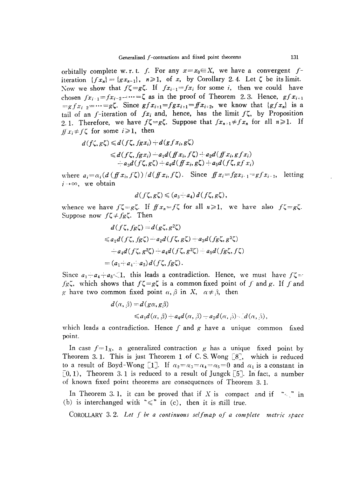orbitally complete w. r. t. *f.* For any  $x = x_0 \in X$ , we have a convergent *f*iteration  ${f x_n} = {g x_{n-1}}$ ,  $n \ge 1$ , of *x*, by Corollary 2.4. Let  $\zeta$  be its limit. Now we show that  $f\zeta = g\zeta$ . If  $fx_{i+1} = fx_i$  for some *i*, then we could have chosen  $fx_{i-1}=fx_{i-2}-\cdots=\zeta$  as in the proof of Theorem 2.3. Hence,  $gfx_{i+1}$  $= g f x_i$   $_2 = \cdots = g \zeta$ . Since  $gf x_{i+1} = fg x_{i+1} = f f x_{i+2}$ , we know that  $\{gf x_n\}$  is a tail of an *f*-iteration of  $fx_i$  and, hence, has the limit  $f\zeta$ , by Proposition 2.1. Therefore, we have  $f\zeta = g\zeta$ . Suppose that  $fx_{n+1} \neq fx_n$  for all  $n \geq 1$ . If  $f(x) \neq f(\zeta)$  for some  $i \geq 1$ , then

$$
d(f\zeta, g\zeta) \leq d(f\zeta, fgx_i) + d(gf x_i, g\zeta)
$$
  
\n
$$
\leq d(f\zeta, fgx_i) + a_1 d(fx_i, f\zeta) + a_2 d(fx_i, gf x_i)
$$
  
\n
$$
+ a_3 d(f\zeta, g\zeta) + a_4 d(fx_i, g\zeta) + a_5 d(f\zeta, gf x_i)
$$

where  $a_i = a_i(d(f(x_i, f\zeta))/d(f(x_i, f\zeta))$ . Since  $f(x_i = fgx_{i-1} = gfx_{i-1}$ , letting  $i \rightarrow \infty$ , we obtain

$$
d(f\zeta, g\zeta) \leqslant (a_3 - a_4) d(f\zeta, g\zeta),
$$

whence we have  $f\zeta = g\zeta$ . If  $f\theta x_n = f\zeta$  for all  $n \ge 1$ , we have also  $f\zeta = g\zeta$ . whence we have  $f \subsetneq -g \subsetneq$ . If<br>Suppose now  $f \subsetneq -f g \subsetneq$ . Then

$$
d(f\zeta, fg\zeta) = d(g\zeta, g^2\zeta)
$$
  
\n
$$
\leq a_1 d(f\zeta, fg\zeta) - a_2 d(f\zeta, g\zeta) + a_3 d(fg\zeta, g^2\zeta)
$$
  
\n
$$
+ a_4 d(f\zeta, g^2\zeta) + a_4 d(f\zeta, g^2\zeta) + a_5 d(fg\zeta, f\zeta)
$$
  
\n
$$
= (a_1 + a_4 + a_5) d(f\zeta, fg\zeta).
$$

Since  $a_1 - a_4 + a_5 < 1$ , this leads a contradiction. Hence, we must have  $f\zeta =$  $fg\zeta$ , which shows that  $f\zeta = g\zeta$  is a common fixed point of f and g. If f and g have two common fixed point  $\alpha$ ,  $\beta$  in X,  $\alpha \neq \beta$ , then

$$
d(\alpha, \beta) = d(g\alpha, g\beta)
$$
  
\$\leq a\_1 d(\alpha, \beta) + a\_4 d(\alpha, \beta) + a\_5 d(\alpha, \beta) \leq d(\alpha, \beta),\$

which leads a contradiction. Hence f and g have a unique common fixed point.

In case  $f = 1_x$ , a generalized contraction *g* has a unique fixed point by Theorem 3.1. This is just Theorem 1 of C. S. Wong  $[8]$ , which is reduced to a result of Boyd-Wong [1]. If  $\alpha_2 = \alpha_3 = \alpha_4 = \alpha_5 = 0$  and  $\alpha_1$  is a constant in  $[0,1)$ , Theorem 3.1 is reduced to a result of Jungck  $[5]$ . In fact, a number of known fixed point theorems are consequences of Theorem 3.1.

In Theorem 3.1, it can be proved that if X is compact and if " $\le$ " in (b) is interchanged with " $\leq$ " in (c), then it is still true.

COROLLARY 3. 2. *Let* f *be a continuous setfmap of a complete metric space*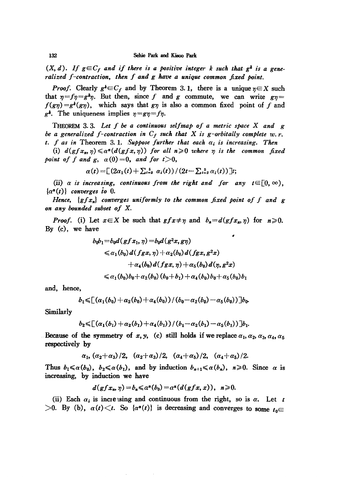$(X, d)$ . If  $g \in C_f$  and if there is a positive integer k such that  $g^k$  is a gene*ralized* f-contraction, then f and g have a unique common fixed point.

*Proof.* Clearly  $g^k \in C_f$  and by Theorem 3.1, there is a unique  $\eta \in X$  such that  $\eta = f\eta = g^k \eta$ . But then, since f and g commute, we can write  $g\eta =$  $f(g\eta) = g^k(g\eta)$ , which says that  $g\eta$  is also a common fixed point of *f* and  $g^k$ . The uniqueness implies  $\eta = g\eta = f\eta$ .

THEOREM 3. 3. *Let f be a continuous selfmap of a metric space* X *and g be* a generalized f-contraction in  $C_f$  such that X is g-orbitally complete w.r. *t. f as in* Theorem 3.1. *Suppose further that each*  $\alpha_i$  *is increasing. Then* 

(i)  $d(gfx_n, \eta) \leq \alpha^n(d(gfx, \eta))$  for all  $n \geq 0$  where  $\eta$  is the common fixed *point* of *f* and *g*,  $\alpha(0) = 0$ , and for  $t > 0$ ,

$$
\alpha(t) = \left[ (2\alpha_1(t) + \sum_{i=2}^5 \alpha_i(t)) / (2t - \sum_{i=2}^5 \alpha_i(t)) \right]t;
$$

(ii)  $\alpha$  *is increasing, continuous from the right and for any*  $t \in [0, \infty)$ ,  $\{\alpha^n(t)\}\$  *converges to* 0.

*Hence, {gfx,,} converges uniformly to the common fixed point of f and g on any bounded subset of* X.

*Proof.* (i) Let  $x \in X$  be such that  $gfx \neq \eta$  and  $b_n = d(gfx_n, \eta)$  for  $n \geq 0$ . By (c), we have

$$
b_0b_1 = b_0d(gfx_1, \eta) = b_0d(g^2x, g\eta)
$$
  
\n
$$
\leq \alpha_1(b_0)d(fgx, \eta) + \alpha_2(b_0)d(fgx, g^2x)
$$
  
\n
$$
+ \alpha_4(b_0)d(fgx, \eta) + \alpha_5(b_0)d(\eta, g^2x)
$$
  
\n
$$
\leq \alpha_1(b_0)b_0 + \alpha_2(b_0)(b_0 + b_1) + \alpha_4(b_0)b_0 + \alpha_5(b_0)b_1
$$

and, hence,

$$
b_1 \leq (a_1(b_0) + a_2(b_0) + a_4(b_0)) / (b_0 - a_2(b_0) - a_5(b_0))]b_0.
$$

Similarly

$$
b_2 \leq (a_1(b_1) + a_2(b_1) + a_4(b_1)) / (b_1 - a_2(b_1) - a_5(b_1))]b_1.
$$

Because of the symmetry of *x*, *y*, (c) still holds if we replace  $\alpha_1, \alpha_2, \alpha_3, \alpha_4, \alpha_5$ respectively by

 $\alpha_1, (\alpha_2+\alpha_3)/2, (\alpha_2+\alpha_3)/2, (\alpha_4+\alpha_5)/2, (\alpha_4+\alpha_5)/2.$ 

Thus  $b_1 \leq \alpha(b_0)$ ,  $b_2 \leq \alpha(b_1)$ , and by induction  $b_{n+1} \leq \alpha(b_n)$ ,  $n \geq 0$ . Since  $\alpha$  is increasing, by induction we have

$$
d(gfx_n, \eta) = b_n \leq \alpha^n(b_0) = \alpha^n(d(gfx, x)), \ \ n \geq 0.
$$

(ii) Each  $\alpha_i$  is increasing and continuous from the right, so is  $\alpha$ . Let *t*  $>0$ . By (b),  $\alpha(t) < t$ . So  $\{\alpha^n(t)\}$  is decreasing and converges to some  $t_0 \in$